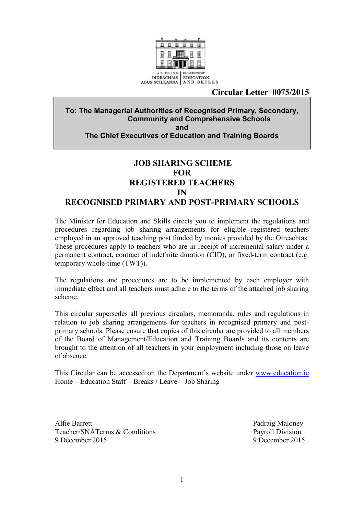

#### **Circular Letter 0075/2015**

#### **To: The Managerial Authorities of Recognised Primary, Secondary, Community and Comprehensive Schools and The Chief Executives of Education and Training Boards**

### **JOB SHARING SCHEME FOR REGISTERED TEACHERS IN RECOGNISED PRIMARY AND POST-PRIMARY SCHOOLS**

The Minister for Education and Skills directs you to implement the regulations and procedures regarding job sharing arrangements for eligible registered teachers employed in an approved teaching post funded by monies provided by the Oireachtas. These procedures apply to teachers who are in receipt of incremental salary under a permanent contract, contract of indefinite duration (CID), or fixed-term contract (e.g. temporary whole-time (TWT)).

The regulations and procedures are to be implemented by each employer with immediate effect and all teachers must adhere to the terms of the attached job sharing scheme.

This circular supersedes all previous circulars, memoranda, rules and regulations in relation to job sharing arrangements for teachers in recognised primary and postprimary schools. Please ensure that copies of this circular are provided to all members of the Board of Management/Education and Training Boards and its contents are brought to the attention of all teachers in your employment including those on leave of absence.

This Circular can be accessed on the Department's website under [www.education.ie](http://www.education.ie/) Home – Education Staff – Breaks / Leave – Job Sharing

Alfie Barrett Padraig Maloney Teacher/SNATerms & Conditions Payroll Division 9 December 2015 9 December 2015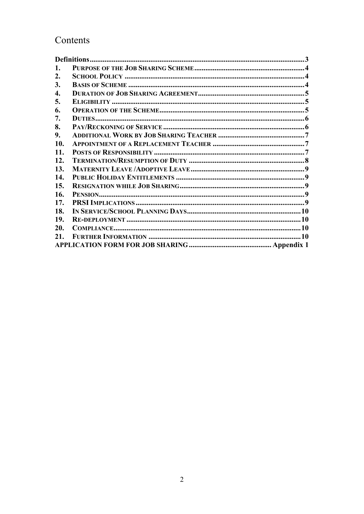# Contents

| 1.                 |  |
|--------------------|--|
| 2.                 |  |
| 3.                 |  |
| $\boldsymbol{4}$ . |  |
| 5.                 |  |
| 6.                 |  |
| 7.                 |  |
| 8.                 |  |
| 9.                 |  |
| 10.                |  |
| 11.                |  |
| 12.                |  |
| 13.                |  |
| 14.                |  |
| 15.                |  |
| 16.                |  |
| 17.                |  |
| 18.                |  |
| 19.                |  |
| 20.                |  |
| 21.                |  |
|                    |  |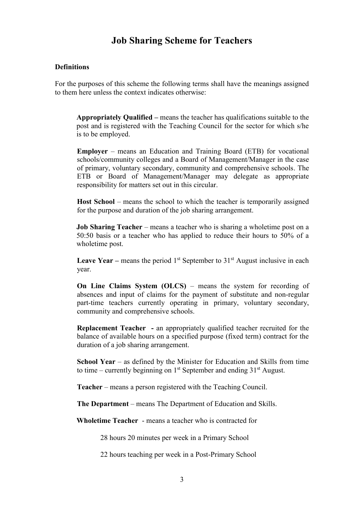## **Job Sharing Scheme for Teachers**

#### <span id="page-2-0"></span>**Definitions**

For the purposes of this scheme the following terms shall have the meanings assigned to them here unless the context indicates otherwise:

**Appropriately Qualified –** means the teacher has qualifications suitable to the post and is registered with the Teaching Council for the sector for which s/he is to be employed.

**Employer** – means an Education and Training Board (ETB) for vocational schools/community colleges and a Board of Management/Manager in the case of primary, voluntary secondary, community and comprehensive schools. The ETB or Board of Management/Manager may delegate as appropriate responsibility for matters set out in this circular.

**Host School** – means the school to which the teacher is temporarily assigned for the purpose and duration of the job sharing arrangement.

**Job Sharing Teacher** – means a teacher who is sharing a wholetime post on a 50:50 basis or a teacher who has applied to reduce their hours to 50% of a wholetime post.

**Leave Year – means the period**  $1<sup>st</sup>$  **September to**  $31<sup>st</sup>$  **August inclusive in each** year.

**On Line Claims System (OLCS)** – means the system for recording of absences and input of claims for the payment of substitute and non-regular part-time teachers currently operating in primary, voluntary secondary, community and comprehensive schools.

**Replacement Teacher -** an appropriately qualified teacher recruited for the balance of available hours on a specified purpose (fixed term) contract for the duration of a job sharing arrangement.

**School Year** – as defined by the Minister for Education and Skills from time to time – currently beginning on  $1<sup>st</sup>$  September and ending  $31<sup>st</sup>$  August.

**Teacher** – means a person registered with the Teaching Council.

**The Department** – means The Department of Education and Skills.

**Wholetime Teacher** - means a teacher who is contracted for

28 hours 20 minutes per week in a Primary School

22 hours teaching per week in a Post-Primary School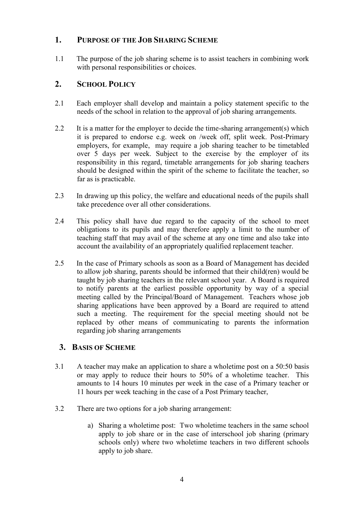### <span id="page-3-0"></span>**1. PURPOSE OF THE JOB SHARING SCHEME**

1.1 The purpose of the job sharing scheme is to assist teachers in combining work with personal responsibilities or choices.

### <span id="page-3-1"></span>**2. SCHOOL POLICY**

- 2.1 Each employer shall develop and maintain a policy statement specific to the needs of the school in relation to the approval of job sharing arrangements.
- 2.2 It is a matter for the employer to decide the time-sharing arrangement(s) which it is prepared to endorse e.g. week on /week off, split week. Post-Primary employers, for example, may require a job sharing teacher to be timetabled over 5 days per week. Subject to the exercise by the employer of its responsibility in this regard, timetable arrangements for job sharing teachers should be designed within the spirit of the scheme to facilitate the teacher, so far as is practicable.
- 2.3 In drawing up this policy, the welfare and educational needs of the pupils shall take precedence over all other considerations.
- 2.4 This policy shall have due regard to the capacity of the school to meet obligations to its pupils and may therefore apply a limit to the number of teaching staff that may avail of the scheme at any one time and also take into account the availability of an appropriately qualified replacement teacher.
- 2.5 In the case of Primary schools as soon as a Board of Management has decided to allow job sharing, parents should be informed that their child(ren) would be taught by job sharing teachers in the relevant school year. A Board is required to notify parents at the earliest possible opportunity by way of a special meeting called by the Principal/Board of Management. Teachers whose job sharing applications have been approved by a Board are required to attend such a meeting. The requirement for the special meeting should not be replaced by other means of communicating to parents the information regarding job sharing arrangements

### <span id="page-3-2"></span>**3. BASIS OF SCHEME**

- 3.1 A teacher may make an application to share a wholetime post on a 50:50 basis or may apply to reduce their hours to 50% of a wholetime teacher. This amounts to 14 hours 10 minutes per week in the case of a Primary teacher or 11 hours per week teaching in the case of a Post Primary teacher,
- 3.2 There are two options for a job sharing arrangement:
	- a) Sharing a wholetime post: Two wholetime teachers in the same school apply to job share or in the case of interschool job sharing (primary schools only) where two wholetime teachers in two different schools apply to job share.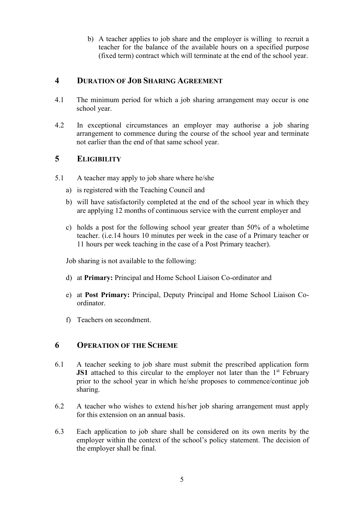b) A teacher applies to job share and the employer is willing to recruit a teacher for the balance of the available hours on a specified purpose (fixed term) contract which will terminate at the end of the school year.

### <span id="page-4-0"></span>**4 DURATION OF JOB SHARING AGREEMENT**

- 4.1 The minimum period for which a job sharing arrangement may occur is one school year.
- 4.2 In exceptional circumstances an employer may authorise a job sharing arrangement to commence during the course of the school year and terminate not earlier than the end of that same school year.

### <span id="page-4-1"></span>**5 ELIGIBILITY**

- 5.1 A teacher may apply to job share where he/she
	- a) is registered with the Teaching Council and
	- b) will have satisfactorily completed at the end of the school year in which they are applying 12 months of continuous service with the current employer and
	- c) holds a post for the following school year greater than 50% of a wholetime teacher. (i.e.14 hours 10 minutes per week in the case of a Primary teacher or 11 hours per week teaching in the case of a Post Primary teacher).

Job sharing is not available to the following:

- d) at **Primary:** Principal and Home School Liaison Co-ordinator and
- e) at **Post Primary:** Principal, Deputy Principal and Home School Liaison Coordinator.
- <span id="page-4-2"></span>f) Teachers on secondment.

### **6 OPERATION OF THE SCHEME**

- 6.1 A teacher seeking to job share must submit the prescribed application form **JS1** attached to this circular to the employer not later than the 1<sup>st</sup> February prior to the school year in which he/she proposes to commence/continue job sharing.
- 6.2 A teacher who wishes to extend his/her job sharing arrangement must apply for this extension on an annual basis.
- 6.3 Each application to job share shall be considered on its own merits by the employer within the context of the school's policy statement. The decision of the employer shall be final.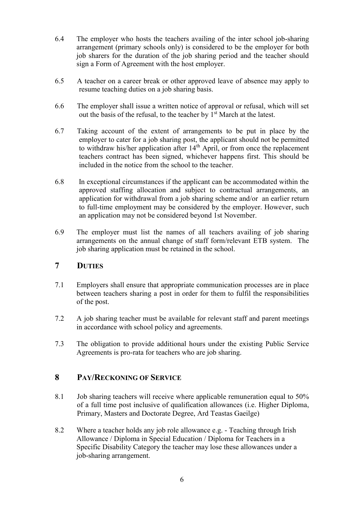- 6.4 The employer who hosts the teachers availing of the inter school job-sharing arrangement (primary schools only) is considered to be the employer for both job sharers for the duration of the job sharing period and the teacher should sign a Form of Agreement with the host employer.
- 6.5 A teacher on a career break or other approved leave of absence may apply to resume teaching duties on a job sharing basis.
- 6.6 The employer shall issue a written notice of approval or refusal, which will set out the basis of the refusal, to the teacher by 1<sup>st</sup> March at the latest.
- 6.7 Taking account of the extent of arrangements to be put in place by the employer to cater for a job sharing post, the applicant should not be permitted to withdraw his/her application after  $14<sup>th</sup>$  April, or from once the replacement teachers contract has been signed, whichever happens first. This should be included in the notice from the school to the teacher.
- 6.8 In exceptional circumstances if the applicant can be accommodated within the approved staffing allocation and subject to contractual arrangements, an application for withdrawal from a job sharing scheme and/or an earlier return to full-time employment may be considered by the employer. However, such an application may not be considered beyond 1st November.
- 6.9 The employer must list the names of all teachers availing of job sharing arrangements on the annual change of staff form/relevant ETB system. The job sharing application must be retained in the school.

### <span id="page-5-0"></span>**7 DUTIES**

- 7.1 Employers shall ensure that appropriate communication processes are in place between teachers sharing a post in order for them to fulfil the responsibilities of the post.
- 7.2 A job sharing teacher must be available for relevant staff and parent meetings in accordance with school policy and agreements.
- 7.3 The obligation to provide additional hours under the existing Public Service Agreements is pro-rata for teachers who are job sharing.

### <span id="page-5-1"></span>**8 PAY/RECKONING OF SERVICE**

- 8.1 Job sharing teachers will receive where applicable remuneration equal to 50% of a full time post inclusive of qualification allowances (i.e. Higher Diploma, Primary, Masters and Doctorate Degree, Ard Teastas Gaeilge)
- 8.2 Where a teacher holds any job role allowance e.g. Teaching through Irish Allowance / Diploma in Special Education / Diploma for Teachers in a Specific Disability Category the teacher may lose these allowances under a job-sharing arrangement.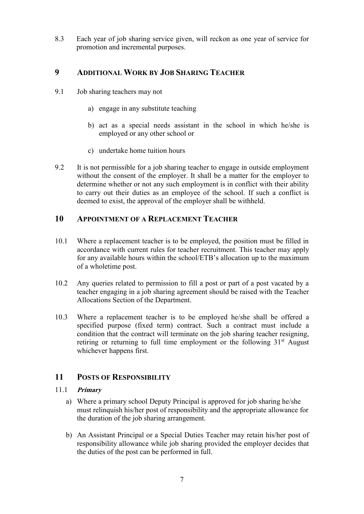8.3 Each year of job sharing service given, will reckon as one year of service for promotion and incremental purposes.

### <span id="page-6-0"></span>**9 ADDITIONAL WORK BY JOB SHARING TEACHER**

- 9.1 Job sharing teachers may not
	- a) engage in any substitute teaching
	- b) act as a special needs assistant in the school in which he/she is employed or any other school or
	- c) undertake home tuition hours
- 9.2 It is not permissible for a job sharing teacher to engage in outside employment without the consent of the employer. It shall be a matter for the employer to determine whether or not any such employment is in conflict with their ability to carry out their duties as an employee of the school. If such a conflict is deemed to exist, the approval of the employer shall be withheld.

### <span id="page-6-1"></span>**10 APPOINTMENT OF A REPLACEMENT TEACHER**

- 10.1 Where a replacement teacher is to be employed, the position must be filled in accordance with current rules for teacher recruitment. This teacher may apply for any available hours within the school/ETB's allocation up to the maximum of a wholetime post.
- 10.2 Any queries related to permission to fill a post or part of a post vacated by a teacher engaging in a job sharing agreement should be raised with the Teacher Allocations Section of the Department.
- 10.3 Where a replacement teacher is to be employed he/she shall be offered a specified purpose (fixed term) contract. Such a contract must include a condition that the contract will terminate on the job sharing teacher resigning, retiring or returning to full time employment or the following 31<sup>st</sup> August whichever happens first.

### <span id="page-6-2"></span>**11 POSTS OF RESPONSIBILITY**

#### 11.1 **Primary**

- a) Where a primary school Deputy Principal is approved for job sharing he/she must relinquish his/her post of responsibility and the appropriate allowance for the duration of the job sharing arrangement.
- b) An Assistant Principal or a Special Duties Teacher may retain his/her post of responsibility allowance while job sharing provided the employer decides that the duties of the post can be performed in full.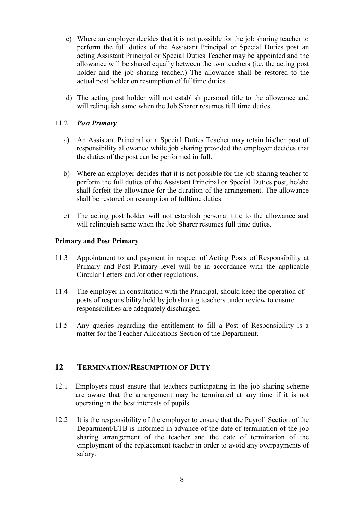- c) Where an employer decides that it is not possible for the job sharing teacher to perform the full duties of the Assistant Principal or Special Duties post an acting Assistant Principal or Special Duties Teacher may be appointed and the allowance will be shared equally between the two teachers (i.e. the acting post holder and the job sharing teacher.) The allowance shall be restored to the actual post holder on resumption of fulltime duties.
- d) The acting post holder will not establish personal title to the allowance and will relinquish same when the Job Sharer resumes full time duties.

#### 11.2 *Post Primary*

- a) An Assistant Principal or a Special Duties Teacher may retain his/her post of responsibility allowance while job sharing provided the employer decides that the duties of the post can be performed in full.
- b) Where an employer decides that it is not possible for the job sharing teacher to perform the full duties of the Assistant Principal or Special Duties post, he/she shall forfeit the allowance for the duration of the arrangement. The allowance shall be restored on resumption of fulltime duties.
- c) The acting post holder will not establish personal title to the allowance and will relinquish same when the Job Sharer resumes full time duties.

#### **Primary and Post Primary**

- 11.3 Appointment to and payment in respect of Acting Posts of Responsibility at Primary and Post Primary level will be in accordance with the applicable Circular Letters and /or other regulations.
- 11.4 The employer in consultation with the Principal, should keep the operation of posts of responsibility held by job sharing teachers under review to ensure responsibilities are adequately discharged.
- 11.5 Any queries regarding the entitlement to fill a Post of Responsibility is a matter for the Teacher Allocations Section of the Department.

#### <span id="page-7-0"></span>**12 TERMINATION/RESUMPTION OF DUTY**

- 12.1 Employers must ensure that teachers participating in the job-sharing scheme are aware that the arrangement may be terminated at any time if it is not operating in the best interests of pupils.
- 12.2 It is the responsibility of the employer to ensure that the Payroll Section of the Department/ETB is informed in advance of the date of termination of the job sharing arrangement of the teacher and the date of termination of the employment of the replacement teacher in order to avoid any overpayments of salary.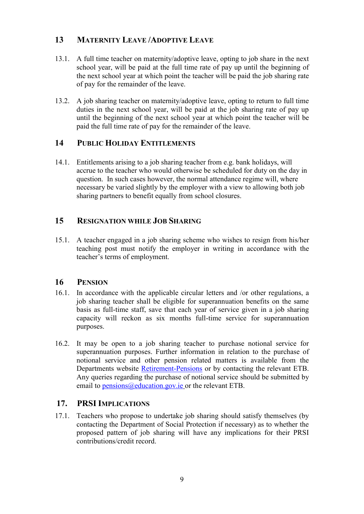### <span id="page-8-0"></span>**13 MATERNITY LEAVE /ADOPTIVE LEAVE**

- 13.1. A full time teacher on maternity/adoptive leave, opting to job share in the next school year, will be paid at the full time rate of pay up until the beginning of the next school year at which point the teacher will be paid the job sharing rate of pay for the remainder of the leave.
- 13.2. A job sharing teacher on maternity/adoptive leave, opting to return to full time duties in the next school year, will be paid at the job sharing rate of pay up until the beginning of the next school year at which point the teacher will be paid the full time rate of pay for the remainder of the leave.

### <span id="page-8-1"></span>**14 PUBLIC HOLIDAY ENTITLEMENTS**

14.1. Entitlements arising to a job sharing teacher from e.g. bank holidays, will accrue to the teacher who would otherwise be scheduled for duty on the day in question. In such cases however, the normal attendance regime will, where necessary be varied slightly by the employer with a view to allowing both job sharing partners to benefit equally from school closures.

### <span id="page-8-2"></span>**15 RESIGNATION WHILE JOB SHARING**

15.1. A teacher engaged in a job sharing scheme who wishes to resign from his/her teaching post must notify the employer in writing in accordance with the teacher's terms of employment.

### <span id="page-8-3"></span>**16 PENSION**

- 16.1. In accordance with the applicable circular letters and /or other regulations, a job sharing teacher shall be eligible for superannuation benefits on the same basis as full-time staff, save that each year of service given in a job sharing capacity will reckon as six months full-time service for superannuation purposes.
- 16.2. It may be open to a job sharing teacher to purchase notional service for superannuation purposes. Further information in relation to the purchase of notional service and other pension related matters is available from the Departments website [Retirement-Pensions](http://www.education.ie/en/Education-Staff/Services/Retirement-Pensions/) or by contacting the relevant ETB. Any queries regarding the purchase of notional service should be submitted by email to [pensions@education.gov.ie](mailto:pensions@education.gov.ie) or the relevant ETB.

### <span id="page-8-4"></span>**17. PRSI IMPLICATIONS**

17.1. Teachers who propose to undertake job sharing should satisfy themselves (by contacting the Department of Social Protection if necessary) as to whether the proposed pattern of job sharing will have any implications for their PRSI contributions/credit record.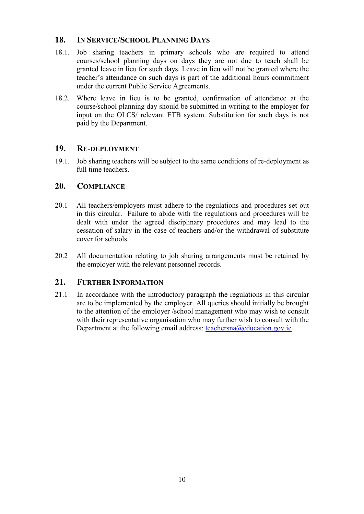### <span id="page-9-0"></span>**18. IN SERVICE/SCHOOL PLANNING DAYS**

- 18.1. Job sharing teachers in primary schools who are required to attend courses/school planning days on days they are not due to teach shall be granted leave in lieu for such days. Leave in lieu will not be granted where the teacher's attendance on such days is part of the additional hours commitment under the current Public Service Agreements.
- 18.2. Where leave in lieu is to be granted, confirmation of attendance at the course/school planning day should be submitted in writing to the employer for input on the OLCS/ relevant ETB system. Substitution for such days is not paid by the Department.

### <span id="page-9-1"></span>**19. RE-DEPLOYMENT**

19.1. Job sharing teachers will be subject to the same conditions of re-deployment as full time teachers.

### <span id="page-9-2"></span>**20. COMPLIANCE**

- 20.1 All teachers/employers must adhere to the regulations and procedures set out in this circular. Failure to abide with the regulations and procedures will be dealt with under the agreed disciplinary procedures and may lead to the cessation of salary in the case of teachers and/or the withdrawal of substitute cover for schools.
- 20.2 All documentation relating to job sharing arrangements must be retained by the employer with the relevant personnel records.

### <span id="page-9-3"></span>**21. FURTHER INFORMATION**

21.1 In accordance with the introductory paragraph the regulations in this circular are to be implemented by the employer. All queries should initially be brought to the attention of the employer /school management who may wish to consult with their representative organisation who may further wish to consult with the Department at the following email address: [teachersna@education.gov.ie](mailto:teachersna@education.gov.ie)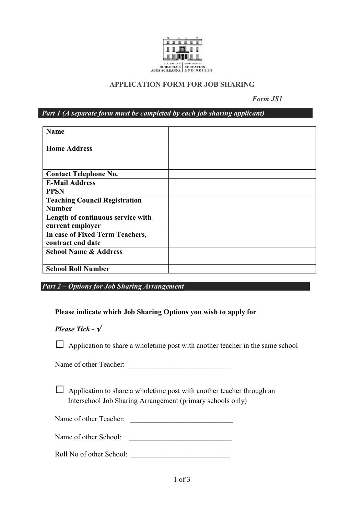

#### **APPLICATION FORM FOR JOB SHARING**

 *Form JS1*

<span id="page-10-0"></span>*Part 1 (A separate form must be completed by each job sharing applicant)*

| <b>Name</b>                                           |  |
|-------------------------------------------------------|--|
| <b>Home Address</b>                                   |  |
| <b>Contact Telephone No.</b>                          |  |
| <b>E-Mail Address</b>                                 |  |
| <b>PPSN</b>                                           |  |
| <b>Teaching Council Registration</b><br><b>Number</b> |  |
| Length of continuous service with<br>current employer |  |
| In case of Fixed Term Teachers,<br>contract end date  |  |
| <b>School Name &amp; Address</b>                      |  |
| <b>School Roll Number</b>                             |  |

*Part 2 – Options for Job Sharing Arrangement* 

#### **Please indicate which Job Sharing Options you wish to apply for**

#### *Please Tick -*

□ Application to share a wholetime post with another teacher in the same school

Name of other Teacher:

□ Application to share a wholetime post with another teacher through an Interschool Job Sharing Arrangement (primary schools only)

Name of other Teacher: \_\_\_\_\_\_\_\_\_\_\_\_\_\_\_\_\_\_\_\_\_\_\_\_\_\_\_\_

Name of other School:

Roll No of other School: \_\_\_\_\_\_\_\_\_\_\_\_\_\_\_\_\_\_\_\_\_\_\_\_\_\_\_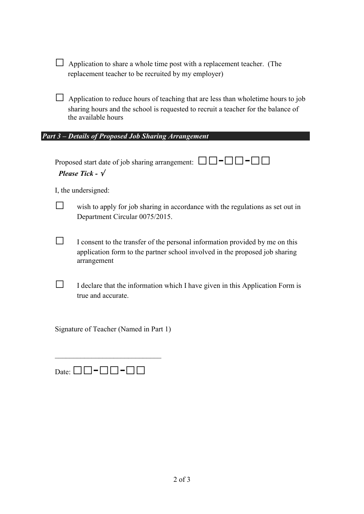□ Application to share a whole time post with a replacement teacher. (The replacement teacher to be recruited by my employer)

□ Application to reduce hours of teaching that are less than wholetime hours to job sharing hours and the school is requested to recruit a teacher for the balance of the available hours

#### *Part 3 – Details of Proposed Job Sharing Arrangement*

Proposed start date of job sharing arrangement:  $\Box$  $\Box$  $\Box$  $\Box$  $\Box$  $\Box$ *Please Tick -*

I, the undersigned:

**□** wish to apply for job sharing in accordance with the regulations as set out in Department Circular 0075/2015.

**□** I consent to the transfer of the personal information provided by me on this application form to the partner school involved in the proposed job sharing arrangement

**□** I declare that the information which I have given in this Application Form is true and accurate.

Signature of Teacher (Named in Part 1)

| Date: $\Box$ $\Box$ $\Box$ $\Box$ $\Box$ $\Box$ $\Box$ |  |  |
|--------------------------------------------------------|--|--|

 $\mathcal{L}_\text{max}$